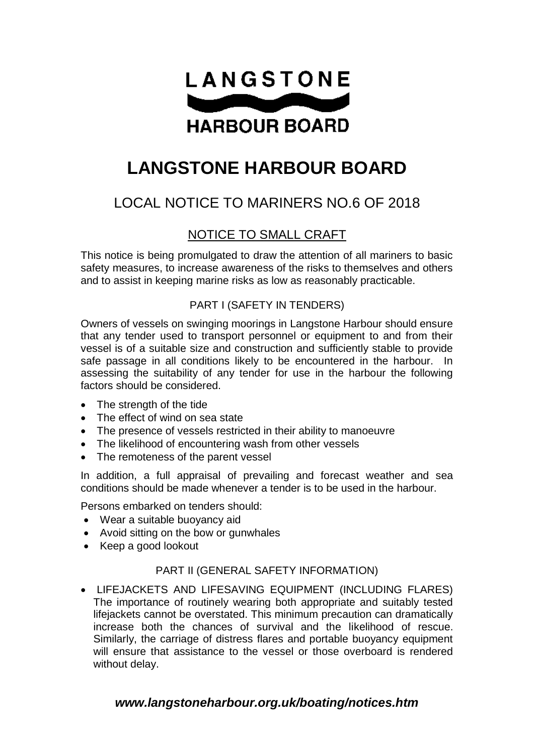

# **LANGSTONE HARBOUR BOARD**

## LOCAL NOTICE TO MARINERS NO.6 OF 2018

### NOTICE TO SMALL CRAFT

This notice is being promulgated to draw the attention of all mariners to basic safety measures, to increase awareness of the risks to themselves and others and to assist in keeping marine risks as low as reasonably practicable.

#### PART I (SAFETY IN TENDERS)

Owners of vessels on swinging moorings in Langstone Harbour should ensure that any tender used to transport personnel or equipment to and from their vessel is of a suitable size and construction and sufficiently stable to provide safe passage in all conditions likely to be encountered in the harbour. In assessing the suitability of any tender for use in the harbour the following factors should be considered.

- The strength of the tide
- The effect of wind on sea state
- The presence of vessels restricted in their ability to manoeuvre
- The likelihood of encountering wash from other vessels
- The remoteness of the parent vessel

In addition, a full appraisal of prevailing and forecast weather and sea conditions should be made whenever a tender is to be used in the harbour.

Persons embarked on tenders should:

- Wear a suitable buoyancy aid
- Avoid sitting on the bow or gunwhales
- Keep a good lookout

#### PART II (GENERAL SAFETY INFORMATION)

 LIFEJACKETS AND LIFESAVING EQUIPMENT (INCLUDING FLARES) The importance of routinely wearing both appropriate and suitably tested lifejackets cannot be overstated. This minimum precaution can dramatically increase both the chances of survival and the likelihood of rescue. Similarly, the carriage of distress flares and portable buoyancy equipment will ensure that assistance to the vessel or those overboard is rendered without delay.

#### *www.langstoneharbour.org.uk/boating/notices.htm*